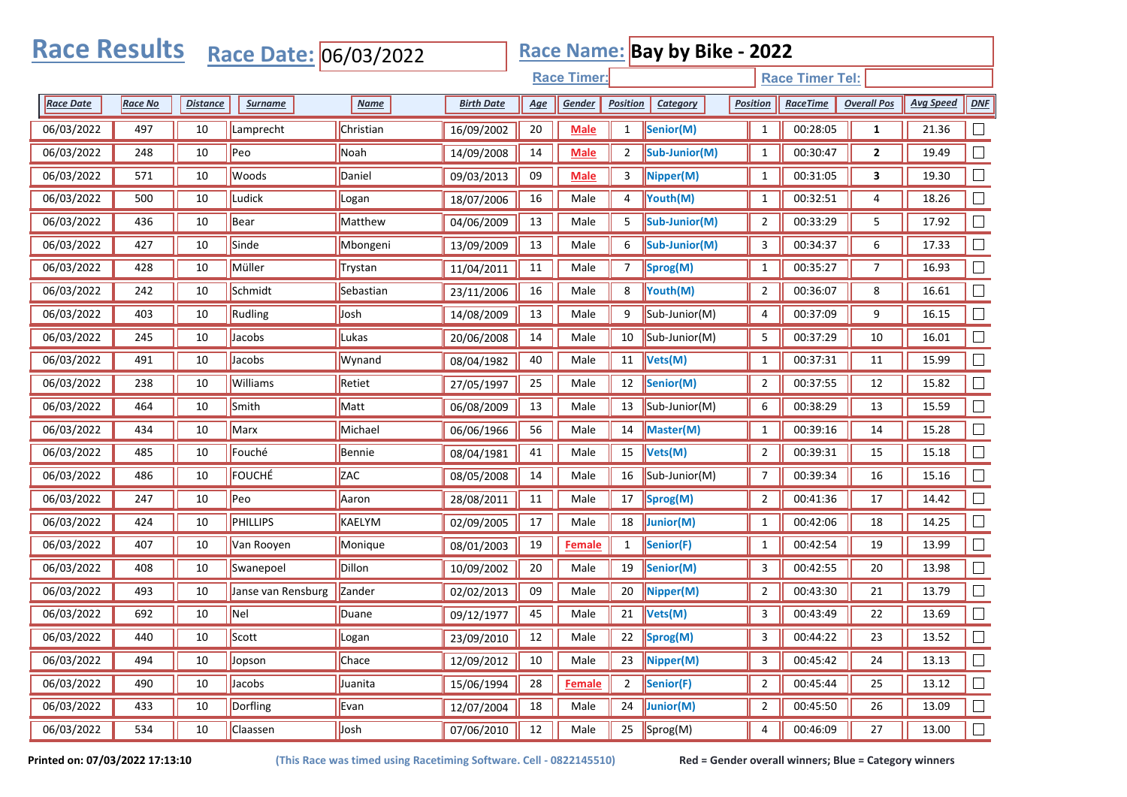| <b>Race Results</b><br>Race Name: Bay by Bike - 2022<br>Race Date: 06/03/2022 |         |                 |                                              |                |                   |     |               |                 |                   |                 |                 |                    |                  |        |
|-------------------------------------------------------------------------------|---------|-----------------|----------------------------------------------|----------------|-------------------|-----|---------------|-----------------|-------------------|-----------------|-----------------|--------------------|------------------|--------|
|                                                                               |         |                 | <b>Race Timer:</b><br><b>Race Timer Tel:</b> |                |                   |     |               |                 |                   |                 |                 |                    |                  |        |
| <b>Race Date</b>                                                              | Race No | <b>Distance</b> | <b>Surname</b>                               | <b>Name</b>    | <b>Birth Date</b> | Age | Gender        | <b>Position</b> | Category          | <b>Position</b> | <b>RaceTime</b> | <b>Overall Pos</b> | <b>Avg Speed</b> | DNF    |
| 06/03/2022                                                                    | 497     | 10              | Lamprecht                                    | Christian      | 16/09/2002        | 20  | <b>Male</b>   | $\mathbf{1}$    | Senior(M)         | $\mathbf{1}$    | 00:28:05        | $\mathbf{1}$       | 21.36            |        |
| 06/03/2022                                                                    | 248     | 10              | Peo                                          | Noah           | 14/09/2008        | 14  | <b>Male</b>   | $\overline{2}$  | Sub-Junior(M)     | $\mathbf{1}$    | 00:30:47        | $\mathbf{2}$       | 19.49            |        |
| 06/03/2022                                                                    | 571     | 10              | Woods                                        | Daniel         | 09/03/2013        | 09  | <b>Male</b>   | 3               | Nipper(M)         | $\mathbf{1}$    | 00:31:05        | 3                  | 19.30            |        |
| 06/03/2022                                                                    | 500     | 10              | Ludick                                       | Logan          | 18/07/2006        | 16  | Male          | 4               | Youth(M)          | $\mathbf{1}$    | 00:32:51        | 4                  | 18.26            |        |
| 06/03/2022                                                                    | 436     | 10              | Bear                                         | Matthew        | 04/06/2009        | 13  | Male          | 5               | Sub-Junior(M)     | $\overline{2}$  | 00:33:29        | 5                  | 17.92            | $\Box$ |
| 06/03/2022                                                                    | 427     | 10              | Sinde                                        | Mbongeni       | 13/09/2009        | 13  | Male          | 6               | Sub-Junior(M)     | 3               | 00:34:37        | 6                  | 17.33            |        |
| 06/03/2022                                                                    | 428     | 10              | Müller                                       | <b>Trystan</b> | 11/04/2011        | 11  | Male          | 7               | Sprog(M)          | 1               | 00:35:27        | 7                  | 16.93            |        |
| 06/03/2022                                                                    | 242     | 10              | Schmidt                                      | Sebastian      | 23/11/2006        | 16  | Male          | 8               | Youth(M)          | 2               | 00:36:07        | 8                  | 16.61            |        |
| 06/03/2022                                                                    | 403     | 10              | Rudling                                      | Josh           | 14/08/2009        | 13  | Male          | 9               | Sub-Junior(M)     | 4               | 00:37:09        | 9                  | 16.15            | $\Box$ |
| 06/03/2022                                                                    | 245     | 10              | Jacobs                                       | Lukas          | 20/06/2008        | 14  | Male          | 10              | Sub-Junior(M)     | 5               | 00:37:29        | 10                 | 16.01            |        |
| 06/03/2022                                                                    | 491     | 10              | Jacobs                                       | Wynand         | 08/04/1982        | 40  | Male          | 11              | Vets(M)           | $\mathbf{1}$    | 00:37:31        | 11                 | 15.99            |        |
| 06/03/2022                                                                    | 238     | 10              | Williams                                     | Retiet         | 27/05/1997        | 25  | Male          | 12              | Senior(M)         | 2               | 00:37:55        | 12                 | 15.82            |        |
| 06/03/2022                                                                    | 464     | 10              | Smith                                        | Matt           | 06/08/2009        | 13  | Male          | 13              | Sub-Junior(M)     | 6               | 00:38:29        | 13                 | 15.59            | $\Box$ |
| 06/03/2022                                                                    | 434     | 10              | Marx                                         | Michael        | 06/06/1966        | 56  | Male          | 14              | Master(M)         | $\mathbf{1}$    | 00:39:16        | 14                 | 15.28            |        |
| 06/03/2022                                                                    | 485     | 10              | Fouché                                       | Bennie         | 08/04/1981        | 41  | Male          | 15              | Vets(M)           | 2               | 00:39:31        | 15                 | 15.18            |        |
| 06/03/2022                                                                    | 486     | 10              | FOUCHÉ                                       | <b>ZAC</b>     | 08/05/2008        | 14  | Male          | 16              | Sub-Junior(M)     | 7               | 00:39:34        | 16                 | 15.16            |        |
| 06/03/2022                                                                    | 247     | 10              | Peo                                          | Aaron          | 28/08/2011        | 11  | Male          | 17              | Sprog(M)          | $\overline{2}$  | 00:41:36        | 17                 | 14.42            | $\Box$ |
| 06/03/2022                                                                    | 424     | 10              | <b>PHILLIPS</b>                              | KAELYM         | 02/09/2005        | 17  | Male          | 18              | Junior(M)         | $\mathbf{1}$    | 00:42:06        | 18                 | 14.25            |        |
| 06/03/2022                                                                    | 407     | 10              | Van Rooyen                                   | Monique        | 08/01/2003        | 19  | <b>Female</b> | $\mathbf{1}$    | Senior(F)         | $\mathbf{1}$    | 00:42:54        | 19                 | 13.99            |        |
| 06/03/2022                                                                    | 408     | 10              | Swanepoel                                    | Dillon         | 10/09/2002        | 20  | Male          | 19              | Senior(M)         | 3               | 00:42:55        | 20                 | 13.98            |        |
| 06/03/2022                                                                    | 493     | 10              | Janse van Rensburg                           | Zander         | 02/02/2013        | 09  | Male          | 20              | Nipper(M)         | $\overline{2}$  | 00:43:30        | 21                 | 13.79            | $\Box$ |
| 06/03/2022                                                                    | 692     | 10              | Nel                                          | Duane          | 09/12/1977        | 45  | Male          | 21              | Vets(M)           | 3               | 00:43:49        | 22                 | 13.69            |        |
| 06/03/2022                                                                    | 440     | 10              | Scott                                        | Logan          | 23/09/2010        | 12  | Male          | $\overline{22}$ | Sprog(M)          | 3               | 00:44:22        | 23                 | 13.52            | $\Box$ |
| 06/03/2022                                                                    | 494     | 10              | Jopson                                       | Chace          | 12/09/2012        | 10  | Male          | 23              | Nipper(M)         | 3               | 00:45:42        | 24                 | 13.13            | $\Box$ |
| 06/03/2022                                                                    | 490     | 10              | Jacobs                                       | Juanita        | 15/06/1994        | 28  | <b>Female</b> | $\overline{2}$  | Senior(F)         | $\overline{2}$  | 00:45:44        | 25                 | 13.12            | $\Box$ |
| 06/03/2022                                                                    | 433     | 10              | Dorfling                                     | Evan           | 12/07/2004        | 18  | Male          | 24              | $\vert$ Junior(M) | $\overline{2}$  | 00:45:50        | 26                 | 13.09            | $\Box$ |
| 06/03/2022                                                                    | 534     | 10              | Claassen                                     | Josh           | 07/06/2010        | 12  | Male          | 25              | Sprog(M)          | 4               | 00:46:09        | 27                 | 13.00            | $\Box$ |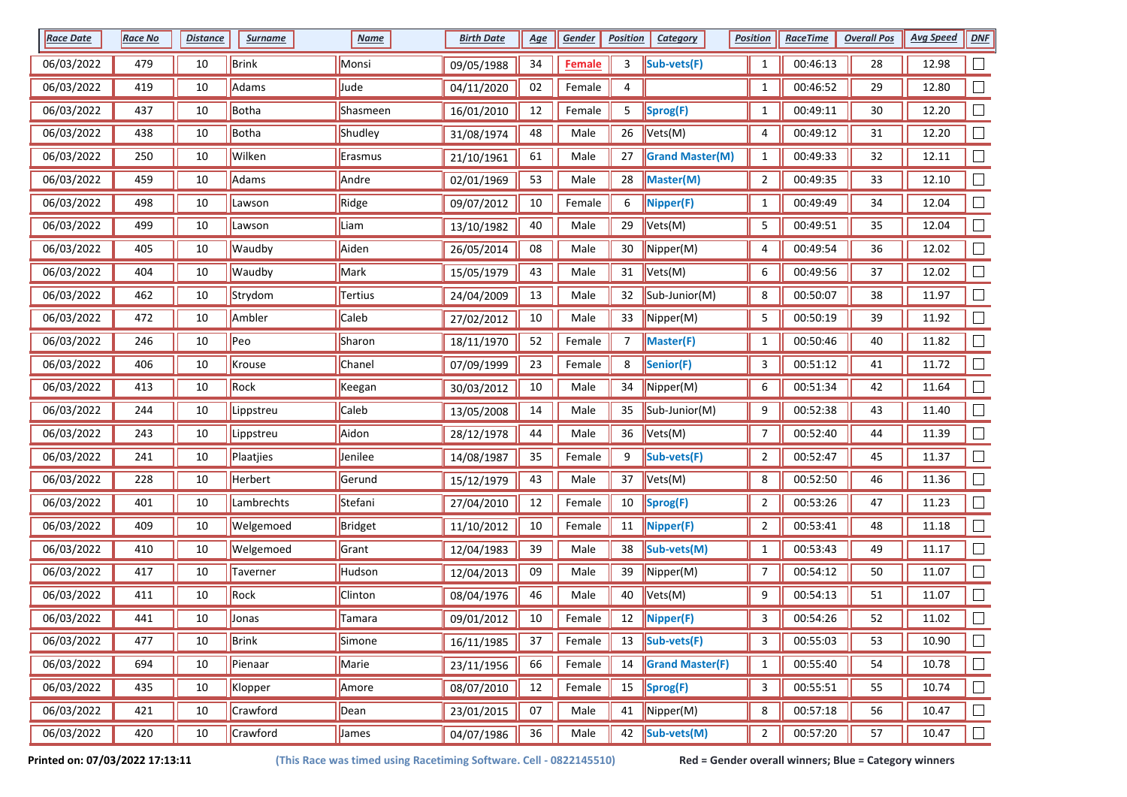| <b>Race Date</b> | <b>Race No</b> | <b>Distance</b> | <b>Surname</b> | <b>Name</b> | <b>Birth Date</b> | <u>Age</u> | Gender        | <b>Position</b> | <b>Category</b>               | <b>Position</b> | <b>RaceTime</b> | <b>Overall Pos</b> | <b>Avg Speed</b> | DNF    |
|------------------|----------------|-----------------|----------------|-------------|-------------------|------------|---------------|-----------------|-------------------------------|-----------------|-----------------|--------------------|------------------|--------|
| 06/03/2022       | 479            | 10              | <b>Brink</b>   | Monsi       | 09/05/1988        | 34         | <b>Female</b> | 3               | Sub-vets(F)                   | $\mathbf{1}$    | 00:46:13        | 28                 | 12.98            |        |
| 06/03/2022       | 419            | 10              | Adams          | Jude        | 04/11/2020        | 02         | Female        | 4               |                               | $\mathbf{1}$    | 00:46:52        | 29                 | 12.80            |        |
| 06/03/2022       | 437            | 10              | Botha          | Shasmeen    | 16/01/2010        | 12         | Female        | 5               | Sprog(F)                      | $\mathbf{1}$    | 00:49:11        | 30                 | 12.20            |        |
| 06/03/2022       | 438            | 10              | Botha          | Shudley     | 31/08/1974        | 48         | Male          | 26              | Vets(M)                       | 4               | 00:49:12        | 31                 | 12.20            |        |
| 06/03/2022       | 250            | 10              | Wilken         | Erasmus     | 21/10/1961        | 61         | Male          | 27              | <b>Grand Master(M)</b>        | $\mathbf{1}$    | 00:49:33        | 32                 | 12.11            |        |
| 06/03/2022       | 459            | 10              | Adams          | Andre       | 02/01/1969        | 53         | Male          | 28              | Master(M)                     | $\overline{2}$  | 00:49:35        | 33                 | 12.10            |        |
| 06/03/2022       | 498            | 10              | Lawson         | Ridge       | 09/07/2012        | 10         | Female        | 6               | Nipper(F)                     | $\mathbf{1}$    | 00:49:49        | 34                 | 12.04            |        |
| 06/03/2022       | 499            | 10              | Lawson         | Liam        | 13/10/1982        | 40         | Male          | 29              | Vets(M)                       | 5               | 00:49:51        | 35                 | 12.04            |        |
| 06/03/2022       | 405            | 10              | Waudby         | Aiden       | 26/05/2014        | 08         | Male          | 30              | Nipper(M)                     | 4               | 00:49:54        | 36                 | 12.02            |        |
| 06/03/2022       | 404            | 10              | Waudby         | Mark        | 15/05/1979        | 43         | Male          | 31              | $\blacktriangleright$ Vets(M) | 6               | 00:49:56        | 37                 | 12.02            |        |
| 06/03/2022       | 462            | 10              | Strydom        | Tertius     | 24/04/2009        | 13         | Male          | 32              | Sub-Junior(M)                 | 8               | 00:50:07        | 38                 | 11.97            |        |
| 06/03/2022       | 472            | 10              | Ambler         | Caleb       | 27/02/2012        | 10         | Male          | 33              | Nipper(M)                     | 5               | 00:50:19        | 39                 | 11.92            |        |
| 06/03/2022       | 246            | 10              | Peo            | Sharon      | 18/11/1970        | 52         | Female        | 7               | Master(F)                     | $\mathbf{1}$    | 00:50:46        | 40                 | 11.82            |        |
| 06/03/2022       | 406            | 10              | Krouse         | Chanel      | 07/09/1999        | 23         | Female        | 8               | Senior(F)                     | 3               | 00:51:12        | 41                 | 11.72            |        |
| 06/03/2022       | 413            | 10              | Rock           | Keegan      | 30/03/2012        | 10         | Male          | 34              | Nipper(M)                     | 6               | 00:51:34        | 42                 | 11.64            |        |
| 06/03/2022       | 244            | 10              | Lippstreu      | Caleb       | 13/05/2008        | 14         | Male          | 35              | Sub-Junior(M)                 | 9               | 00:52:38        | 43                 | 11.40            |        |
| 06/03/2022       | 243            | 10              | Lippstreu      | Aidon       | 28/12/1978        | 44         | Male          | 36              | Vets(M)                       | 7               | 00:52:40        | 44                 | 11.39            |        |
| 06/03/2022       | 241            | 10              | Plaatjies      | Jenilee     | 14/08/1987        | 35         | Female        | 9               | Sub-vets(F)                   | $\overline{2}$  | 00:52:47        | 45                 | 11.37            |        |
| 06/03/2022       | 228            | 10              | Herbert        | Gerund      | 15/12/1979        | 43         | Male          | 37              | Vets(M)                       | 8               | 00:52:50        | 46                 | 11.36            |        |
| 06/03/2022       | 401            | 10              | Lambrechts     | Stefani     | 27/04/2010        | 12         | Female        | 10              | Sprog(F)                      | $\overline{2}$  | 00:53:26        | 47                 | 11.23            |        |
| 06/03/2022       | 409            | 10              | Welgemoed      | Bridget     | 11/10/2012        | 10         | Female        | 11              | $\sqrt{\text{Nipper(F)}}$     | $\overline{2}$  | 00:53:41        | 48                 | 11.18            |        |
| 06/03/2022       | 410            | 10              | Welgemoed      | Grant       | 12/04/1983        | 39         | Male          | 38              | Sub-vets(M)                   | $\mathbf{1}$    | 00:53:43        | 49                 | 11.17            |        |
| 06/03/2022       | 417            | 10              | Taverner       | Hudson      | 12/04/2013        | 09         | Male          | 39              | Nipper(M)                     | 7               | 00:54:12        | 50                 | 11.07            |        |
| 06/03/2022       | 411            | 10              | Rock           | Clinton     | 08/04/1976        | 46         | Male          | 40              | Vets(M)                       | 9               | 00:54:13        | 51                 | 11.07            |        |
| 06/03/2022       | 441            | 10              | Jonas          | Tamara      | 09/01/2012        | 10         | Female        | 12              | $\sqrt{\text{Nipper(F)}}$     | 3               | 00:54:26        | 52                 | 11.02            |        |
| 06/03/2022       | 477            | 10              | <b>Brink</b>   | Simone      | 16/11/1985        | 37         | Female        | 13              | Sub-vets(F)                   | 3               | 00:55:03        | 53                 | 10.90            | $\Box$ |
| 06/03/2022       | 694            | 10              | Pienaar        | Marie       | 23/11/1956        | 66         | Female        | 14              | <b>Grand Master(F)</b>        | $\mathbf{1}$    | 00:55:40        | 54                 | 10.78            |        |
| 06/03/2022       | 435            | 10              | Klopper        | Amore       | 08/07/2010        | 12         | Female        | 15              | Sprog(F)                      | 3               | 00:55:51        | 55                 | 10.74            | $\Box$ |
| 06/03/2022       | 421            | 10              | Crawford       | Dean        | 23/01/2015        | 07         | Male          | 41              | $\sqrt{\text{Nipper(M)}}$     | 8               | 00:57:18        | 56                 | 10.47            | $\Box$ |
| 06/03/2022       | 420            | $10\,$          | Crawford       | James       | 04/07/1986        | 36         | Male          | 42              | Sub-vets(M)                   | $\overline{2}$  | 00:57:20        | 57                 | 10.47            | $\Box$ |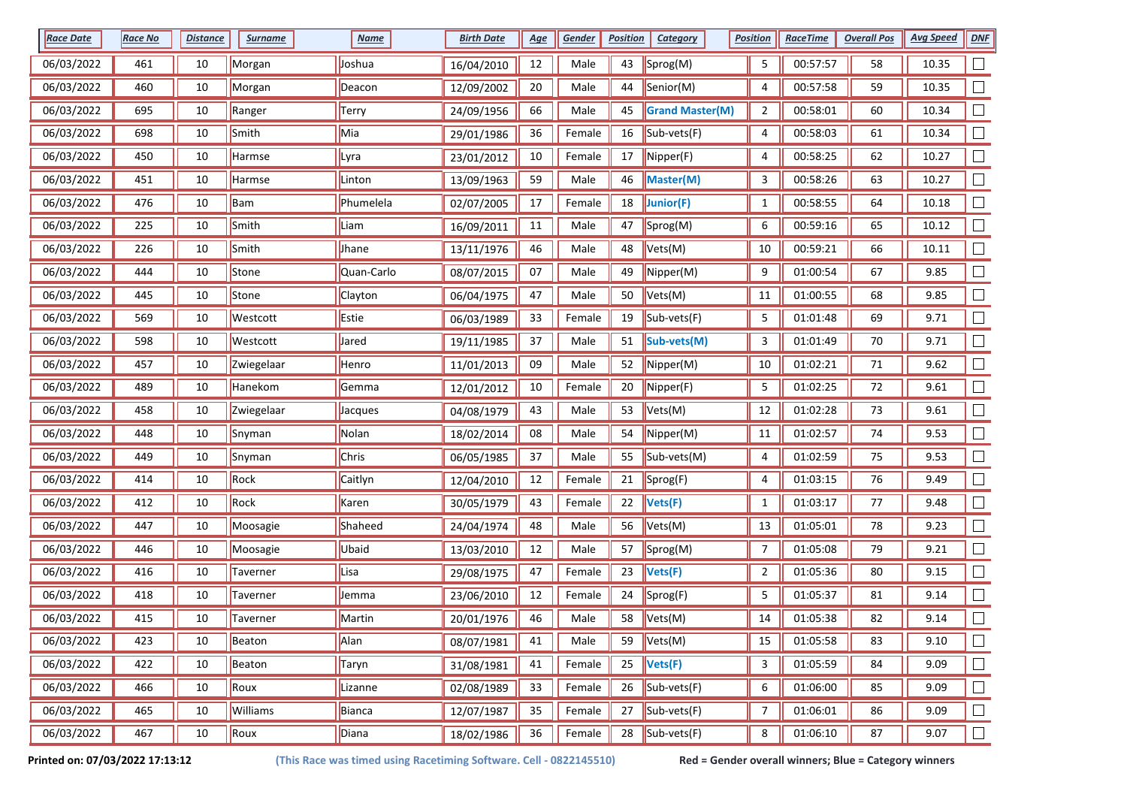| <b>Race Date</b> | <b>Race No</b> | <b>Distance</b> | <b>Surname</b> | <b>Name</b> | <b>Birth Date</b> | <u>Age</u> | Gender | <b>Position</b> | <b>Category</b>                              | <b>Position</b> | <b>RaceTime</b> | <b>Overall Pos</b> | <b>Avg Speed</b> | DNF    |
|------------------|----------------|-----------------|----------------|-------------|-------------------|------------|--------|-----------------|----------------------------------------------|-----------------|-----------------|--------------------|------------------|--------|
| 06/03/2022       | 461            | 10              | Morgan         | Joshua      | 16/04/2010        | 12         | Male   | 43              | Sprog(M)                                     | 5               | 00:57:57        | 58                 | 10.35            |        |
| 06/03/2022       | 460            | 10              | Morgan         | Deacon      | 12/09/2002        | 20         | Male   | 44              | Senior(M)                                    | 4               | 00:57:58        | 59                 | 10.35            |        |
| 06/03/2022       | 695            | 10              | Ranger         | Terry       | 24/09/1956        | 66         | Male   | 45              | <b>Grand Master(M)</b>                       | $\overline{2}$  | 00:58:01        | 60                 | 10.34            |        |
| 06/03/2022       | 698            | 10              | Smith          | Mia         | 29/01/1986        | 36         | Female | 16              | Sub-vets(F)                                  | 4               | 00:58:03        | 61                 | 10.34            |        |
| 06/03/2022       | 450            | 10              | Harmse         | Lyra        | 23/01/2012        | 10         | Female | 17              | $\sqrt{\text{Nipper(F)}}$                    | 4               | 00:58:25        | 62                 | 10.27            |        |
| 06/03/2022       | 451            | 10              | Harmse         | Linton      | 13/09/1963        | 59         | Male   | 46              | Master(M)                                    | 3               | 00:58:26        | 63                 | 10.27            | $\Box$ |
| 06/03/2022       | 476            | 10              | Bam            | Phumelela   | 02/07/2005        | 17         | Female | 18              | Junior(F)                                    | $\mathbf{1}$    | 00:58:55        | 64                 | 10.18            |        |
| 06/03/2022       | 225            | 10              | Smith          | Liam        | 16/09/2011        | 11         | Male   | 47              | Sprog(M)                                     | 6               | 00:59:16        | 65                 | 10.12            |        |
| 06/03/2022       | 226            | 10              | Smith          | Jhane       | 13/11/1976        | 46         | Male   | 48              | Vets(M)                                      | $10\,$          | 00:59:21        | 66                 | 10.11            |        |
| 06/03/2022       | 444            | 10              | Stone          | Quan-Carlo  | 08/07/2015        | 07         | Male   | 49              | $\blacksquare$ Nipper(M)                     | 9               | 01:00:54        | 67                 | 9.85             |        |
| 06/03/2022       | 445            | 10              | Stone          | Clayton     | 06/04/1975        | 47         | Male   | 50              | Vets(M)                                      | 11              | 01:00:55        | 68                 | 9.85             |        |
| 06/03/2022       | 569            | 10              | Westcott       | Estie       | 06/03/1989        | 33         | Female | 19              | Sub-vets(F)                                  | 5               | 01:01:48        | 69                 | 9.71             |        |
| 06/03/2022       | 598            | 10              | Westcott       | Jared       | 19/11/1985        | 37         | Male   | 51              | Sub-vets(M)                                  | 3               | 01:01:49        | 70                 | 9.71             |        |
| 06/03/2022       | 457            | 10              | Zwiegelaar     | Henro       | 11/01/2013        | 09         | Male   | 52              | $\blacksquare$ Nipper(M)                     | 10              | 01:02:21        | 71                 | 9.62             | $\Box$ |
| 06/03/2022       | 489            | 10              | Hanekom        | Gemma       | 12/01/2012        | 10         | Female | 20              | $\sqrt{\text{Nipper(F)}}$                    | 5               | 01:02:25        | $72\,$             | 9.61             |        |
| 06/03/2022       | 458            | 10              | Zwiegelaar     | Jacques     | 04/08/1979        | 43         | Male   | 53              | Vets(M)                                      | 12              | 01:02:28        | 73                 | 9.61             |        |
| 06/03/2022       | 448            | 10              | Snyman         | Nolan       | 18/02/2014        | 08         | Male   | 54              | Nipper(M)                                    | $11\,$          | 01:02:57        | 74                 | 9.53             |        |
| 06/03/2022       | 449            | 10              | Snyman         | Chris       | 06/05/1985        | 37         | Male   | 55              | $\vert$ Sub-vets(M)                          | 4               | 01:02:59        | 75                 | 9.53             |        |
| 06/03/2022       | 414            | 10              | Rock           | Caitlyn     | 12/04/2010        | 12         | Female | 21              | Sprog(F)                                     | 4               | 01:03:15        | 76                 | 9.49             |        |
| 06/03/2022       | 412            | 10              | Rock           | Karen       | 30/05/1979        | 43         | Female | 22              | Vets(F)                                      | $\mathbf{1}$    | 01:03:17        | 77                 | 9.48             |        |
| 06/03/2022       | 447            | 10              | Moosagie       | Shaheed     | 24/04/1974        | 48         | Male   | 56              | Vets(M)                                      | 13              | 01:05:01        | 78                 | 9.23             |        |
| 06/03/2022       | 446            | 10              | Moosagie       | Ubaid       | 13/03/2010        | 12         | Male   | 57              | Sprog(M)                                     | $\overline{7}$  | 01:05:08        | 79                 | 9.21             | $\Box$ |
| 06/03/2022       | 416            | 10              | Taverner       | Lisa        | 29/08/1975        | 47         | Female | 23              | Vets(F)                                      | $\overline{2}$  | 01:05:36        | 80                 | 9.15             |        |
| 06/03/2022       | 418            | 10              | Taverner       | Jemma       | 23/06/2010        | 12         | Female | 24              | Sprog(F)                                     | 5               | 01:05:37        | 81                 | 9.14             |        |
| 06/03/2022       | 415            | 10              | Taverner       | Martin      | 20/01/1976        | 46         | Male   | 58              | Vets(M)                                      | 14              | 01:05:38        | 82                 | 9.14             |        |
| 06/03/2022       | 423            | 10              | Beaton         | Alan        | 08/07/1981        | 41         | Male   | 59              | $\blacktriangleright$ Vets(M)                | 15              | 01:05:58        | 83                 | 9.10             | $\Box$ |
| 06/03/2022       | 422            | 10              | Beaton         | Taryn       | 31/08/1981        | 41         | Female | 25              | $\blacktriangleright$ Vets(F)                | 3               | 01:05:59        | 84                 | 9.09             | $\Box$ |
| 06/03/2022       | 466            | 10              | Roux           | Lizanne     | 02/08/1989        | 33         | Female | 26              | $\left  \text{Sub-vets}(\mathsf{F}) \right $ | 6               | 01:06:00        | 85                 | 9.09             | $\Box$ |
| 06/03/2022       | 465            | 10              | Williams       | Bianca      | 12/07/1987        | 35         | Female | 27              | $\left  \text{Sub-vets}(\mathsf{F}) \right $ | $\overline{7}$  | 01:06:01        | 86                 | 9.09             | $\Box$ |
| 06/03/2022       | 467            | $10\,$          | Roux           | Diana       | 18/02/1986        | 36         | Female | 28              | $Sub-vests(F)$                               | 8               | 01:06:10        | 87                 | 9.07             | $\Box$ |